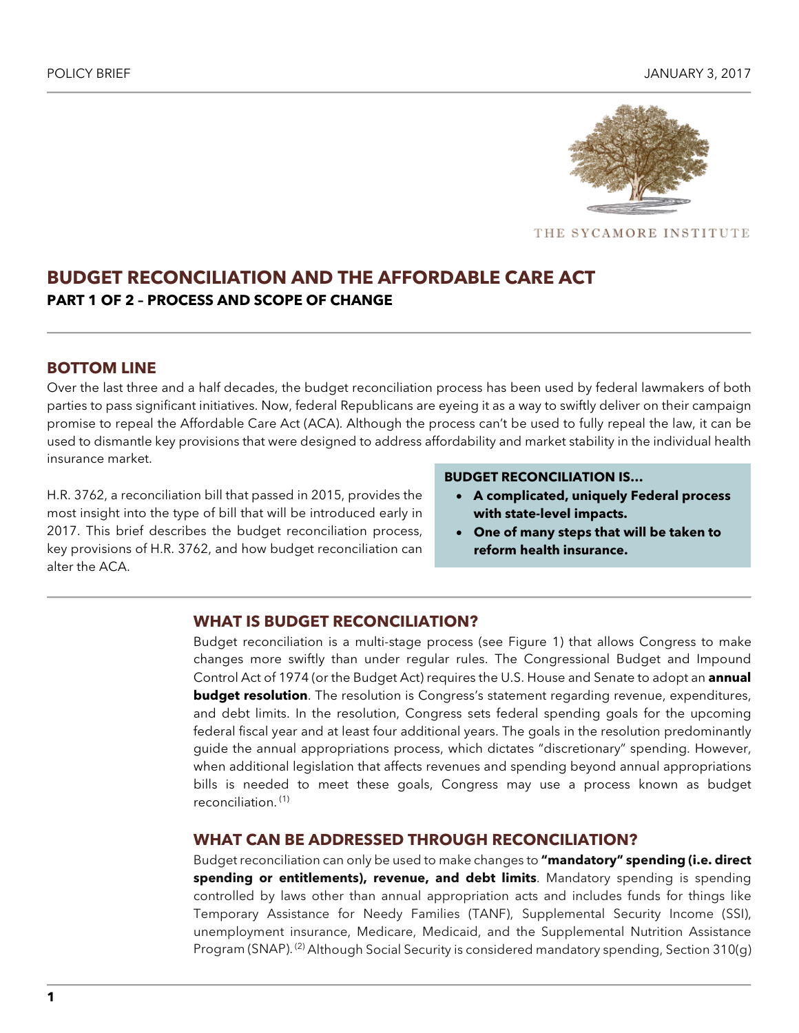

THE SYCAMORE INSTITUTE

# **BUDGET RECONCILIATION AND THE AFFORDABLE CARE ACT PART 1 OF 2 – PROCESS AND SCOPE OF CHANGE**

### **BOTTOM LINE**

Over the last three and a half decades, the budget reconciliation process has been used by federal lawmakers of both parties to pass significant initiatives. Now, federal Republicans are eyeing it as a way to swiftly deliver on their campaign promise to repeal the Affordable Care Act (ACA). Although the process can't be used to fully repeal the law, it can be used to dismantle key provisions that were designed to address affordability and market stability in the individual health insurance market.

H.R. 3762, a reconciliation bill that passed in 2015, provides the most insight into the type of bill that will be introduced early in 2017. This brief describes the budget reconciliation process, key provisions of H.R. 3762, and how budget reconciliation can alter the ACA.

#### **BUDGET RECONCILIATION IS…**

- **A complicated, uniquely Federal process with state-level impacts.**
- **One of many steps that will be taken to reform health insurance.**

#### **WHAT IS BUDGET RECONCILIATION?**

Budget reconciliation is a multi-stage process (see Figure 1) that allows Congress to make changes more swiftly than under regular rules. The Congressional Budget and Impound Control Act of 1974 (or the Budget Act) requires the U.S. House and Senate to adopt an **annual budget resolution**. The resolution is Congress's statement regarding revenue, expenditures, and debt limits. In the resolution, Congress sets federal spending goals for the upcoming federal fiscal year and at least four additional years. The goals in the resolution predominantly guide the annual appropriations process, which dictates "discretionary" spending. However, when additional legislation that affects revenues and spending beyond annual appropriations bills is needed to meet these goals, Congress may use a process known as budget reconciliation. (1)

## **WHAT CAN BE ADDRESSED THROUGH RECONCILIATION?**

Budget reconciliation can only be used to make changes to **"mandatory" spending (i.e. direct spending or entitlements), revenue, and debt limits**. Mandatory spending is spending controlled by laws other than annual appropriation acts and includes funds for things like Temporary Assistance for Needy Families (TANF), Supplemental Security Income (SSI), unemployment insurance, Medicare, Medicaid, and the Supplemental Nutrition Assistance Program (SNAP).<sup>(2)</sup> Although Social Security is considered mandatory spending, Section 310(g)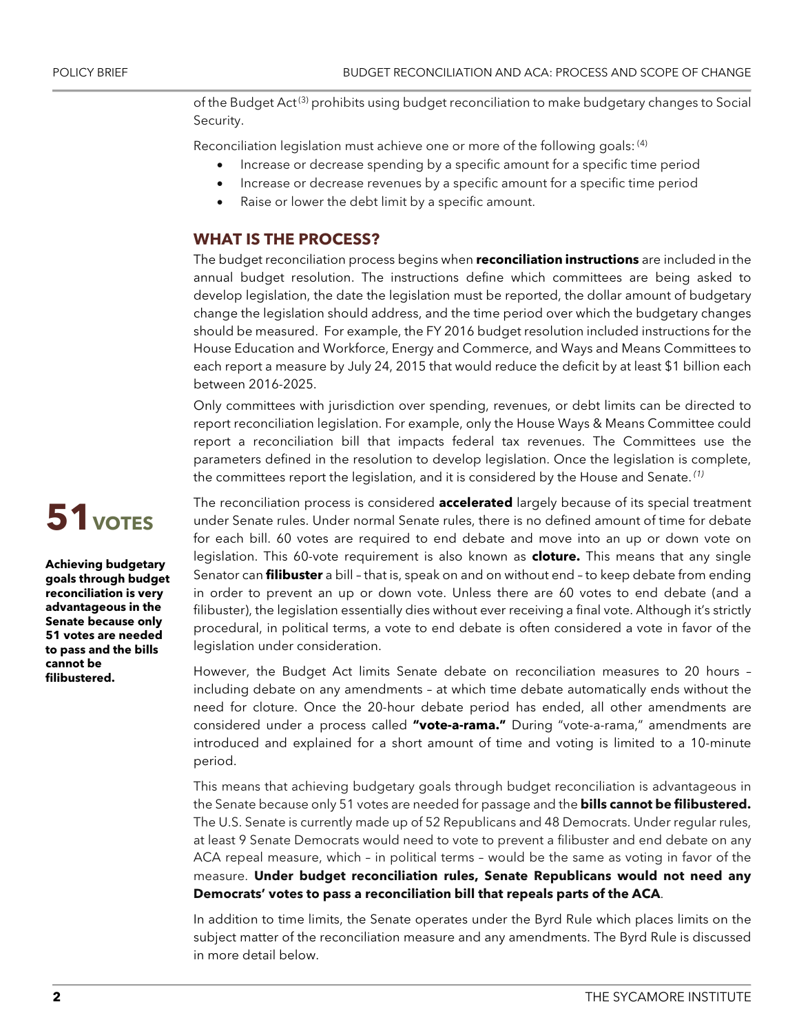of the Budget Act<sup>(3)</sup> prohibits using budget reconciliation to make budgetary changes to Social Security.

Reconciliation legislation must achieve one or more of the following goals: <sup>(4)</sup>

- Increase or decrease spending by a specific amount for a specific time period
- Increase or decrease revenues by a specific amount for a specific time period
- Raise or lower the debt limit by a specific amount.

## **WHAT IS THE PROCESS?**

The budget reconciliation process begins when **reconciliation instructions** are included in the annual budget resolution. The instructions define which committees are being asked to develop legislation, the date the legislation must be reported, the dollar amount of budgetary change the legislation should address, and the time period over which the budgetary changes should be measured. For example, the FY 2016 budget resolution included instructions for the House Education and Workforce, Energy and Commerce, and Ways and Means Committees to each report a measure by July 24, 2015 that would reduce the deficit by at least \$1 billion each between 2016-2025.

Only committees with jurisdiction over spending, revenues, or debt limits can be directed to report reconciliation legislation. For example, only the House Ways & Means Committee could report a reconciliation bill that impacts federal tax revenues. The Committees use the parameters defined in the resolution to develop legislation. Once the legislation is complete, the committees report the legislation, and it is considered by the House and Senate. *(1)*

The reconciliation process is considered **accelerated** largely because of its special treatment under Senate rules. Under normal Senate rules, there is no defined amount of time for debate for each bill. 60 votes are required to end debate and move into an up or down vote on legislation. This 60-vote requirement is also known as **cloture.** This means that any single Senator can **filibuster** a bill – that is, speak on and on without end – to keep debate from ending in order to prevent an up or down vote. Unless there are 60 votes to end debate (and a filibuster), the legislation essentially dies without ever receiving a final vote. Although it's strictly procedural, in political terms, a vote to end debate is often considered a vote in favor of the legislation under consideration.

However, the Budget Act limits Senate debate on reconciliation measures to 20 hours – including debate on any amendments – at which time debate automatically ends without the need for cloture. Once the 20-hour debate period has ended, all other amendments are considered under a process called **"vote-a-rama."** During "vote-a-rama," amendments are introduced and explained for a short amount of time and voting is limited to a 10-minute period.

This means that achieving budgetary goals through budget reconciliation is advantageous in the Senate because only 51 votes are needed for passage and the **bills cannot be filibustered.** The U.S. Senate is currently made up of 52 Republicans and 48 Democrats. Under regular rules, at least 9 Senate Democrats would need to vote to prevent a filibuster and end debate on any ACA repeal measure, which – in political terms – would be the same as voting in favor of the measure. **Under budget reconciliation rules, Senate Republicans would not need any Democrats' votes to pass a reconciliation bill that repeals parts of the ACA**.

In addition to time limits, the Senate operates under the Byrd Rule which places limits on the subject matter of the reconciliation measure and any amendments. The Byrd Rule is discussed in more detail below.

# **51** votes

**Achieving budgetary goals through budget reconciliation is very advantageous in the Senate because only 51 votes are needed to pass and the bills cannot be filibustered.**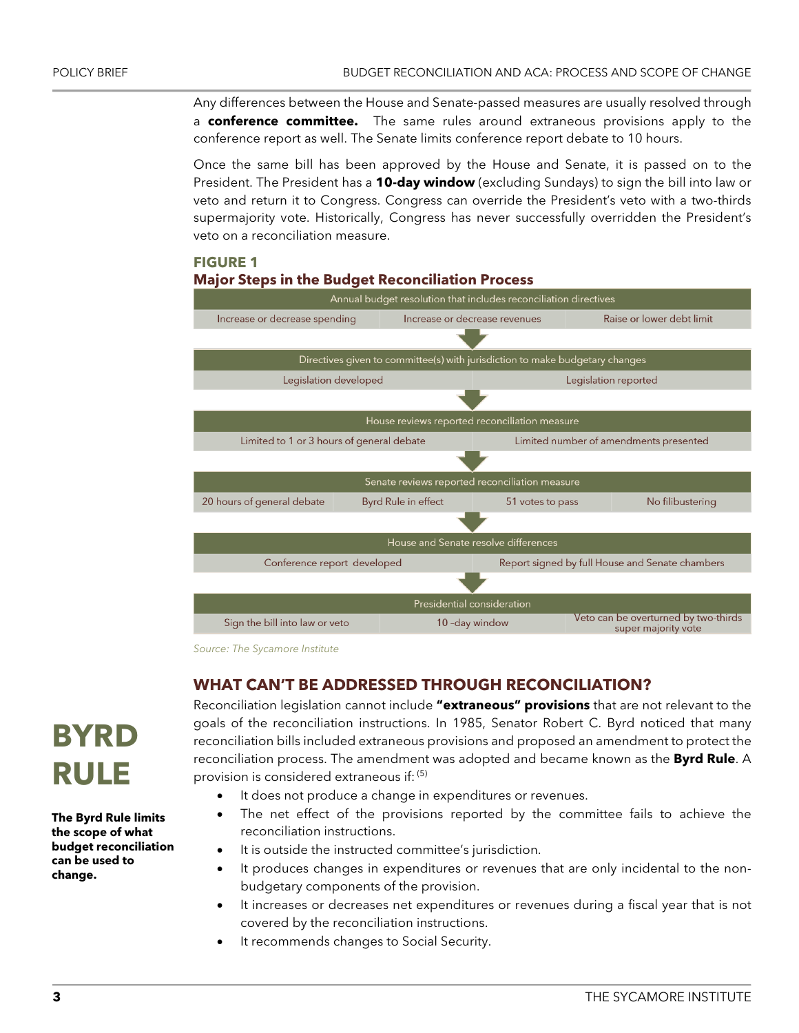Any differences between the House and Senate-passed measures are usually resolved through a **conference committee.** The same rules around extraneous provisions apply to the conference report as well. The Senate limits conference report debate to 10 hours.

Once the same bill has been approved by the House and Senate, it is passed on to the President. The President has a **10-day window** (excluding Sundays) to sign the bill into law or veto and return it to Congress. Congress can override the President's veto with a two-thirds supermajority vote. Historically, Congress has never successfully overridden the President's veto on a reconciliation measure.

# **FIGURE 1 Major Steps in the Budget Reconciliation Process**



*Source: The Sycamore Institute*

# **WHAT CAN'T BE ADDRESSED THROUGH RECONCILIATION?**

Reconciliation legislation cannot include **"extraneous" provisions** that are not relevant to the goals of the reconciliation instructions. In 1985, Senator Robert C. Byrd noticed that many reconciliation bills included extraneous provisions and proposed an amendment to protect the reconciliation process. The amendment was adopted and became known as the **Byrd Rule**. A provision is considered extraneous if: (5)

- It does not produce a change in expenditures or revenues.
- The net effect of the provisions reported by the committee fails to achieve the reconciliation instructions.
- It is outside the instructed committee's jurisdiction.
- It produces changes in expenditures or revenues that are only incidental to the nonbudgetary components of the provision.
- It increases or decreases net expenditures or revenues during a fiscal year that is not covered by the reconciliation instructions.
- It recommends changes to Social Security.



**The Byrd Rule limits the scope of what budget reconciliation can be used to change.**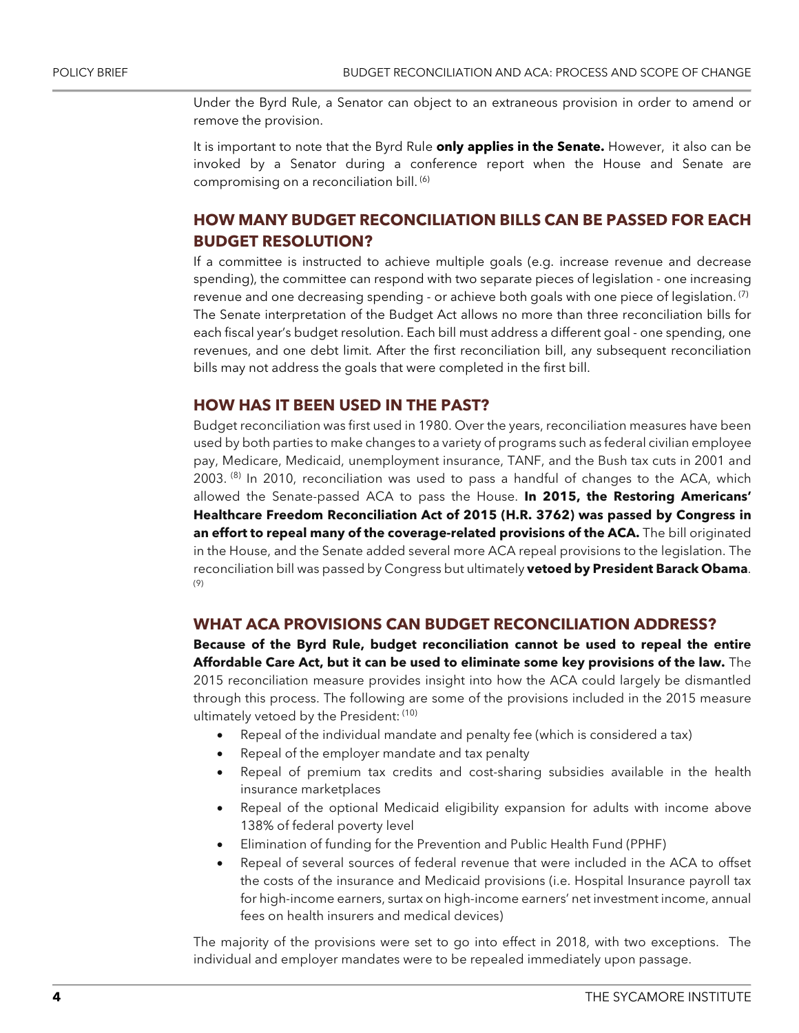Under the Byrd Rule, a Senator can object to an extraneous provision in order to amend or remove the provision.

It is important to note that the Byrd Rule **only applies in the Senate.** However, it also can be invoked by a Senator during a conference report when the House and Senate are compromising on a reconciliation bill. (6)

# **HOW MANY BUDGET RECONCILIATION BILLS CAN BE PASSED FOR EACH BUDGET RESOLUTION?**

If a committee is instructed to achieve multiple goals (e.g. increase revenue and decrease spending), the committee can respond with two separate pieces of legislation - one increasing revenue and one decreasing spending - or achieve both goals with one piece of legislation.<sup>(7)</sup> The Senate interpretation of the Budget Act allows no more than three reconciliation bills for each fiscal year's budget resolution. Each bill must address a different goal - one spending, one revenues, and one debt limit. After the first reconciliation bill, any subsequent reconciliation bills may not address the goals that were completed in the first bill.

#### **HOW HAS IT BEEN USED IN THE PAST?**

Budget reconciliation was first used in 1980. Over the years, reconciliation measures have been used by both parties to make changes to a variety of programs such as federal civilian employee pay, Medicare, Medicaid, unemployment insurance, TANF, and the Bush tax cuts in 2001 and 2003.  $(8)$  In 2010, reconciliation was used to pass a handful of changes to the ACA, which allowed the Senate-passed ACA to pass the House. **In 2015, the Restoring Americans' Healthcare Freedom Reconciliation Act of 2015 (H.R. 3762) was passed by Congress in an effort to repeal many of the coverage-related provisions of the ACA.** The bill originated in the House, and the Senate added several more ACA repeal provisions to the legislation. The reconciliation bill was passed by Congress but ultimately **vetoed by President Barack Obama**. (9)

## **WHAT ACA PROVISIONS CAN BUDGET RECONCILIATION ADDRESS?**

**Because of the Byrd Rule, budget reconciliation cannot be used to repeal the entire Affordable Care Act, but it can be used to eliminate some key provisions of the law.** The 2015 reconciliation measure provides insight into how the ACA could largely be dismantled through this process. The following are some of the provisions included in the 2015 measure ultimately vetoed by the President: (10)

- Repeal of the individual mandate and penalty fee (which is considered a tax)
- Repeal of the employer mandate and tax penalty
- Repeal of premium tax credits and cost-sharing subsidies available in the health insurance marketplaces
- Repeal of the optional Medicaid eligibility expansion for adults with income above 138% of federal poverty level
- Elimination of funding for the Prevention and Public Health Fund (PPHF)
- Repeal of several sources of federal revenue that were included in the ACA to offset the costs of the insurance and Medicaid provisions (i.e. Hospital Insurance payroll tax for high-income earners, surtax on high-income earners' net investment income, annual fees on health insurers and medical devices)

The majority of the provisions were set to go into effect in 2018, with two exceptions. The individual and employer mandates were to be repealed immediately upon passage.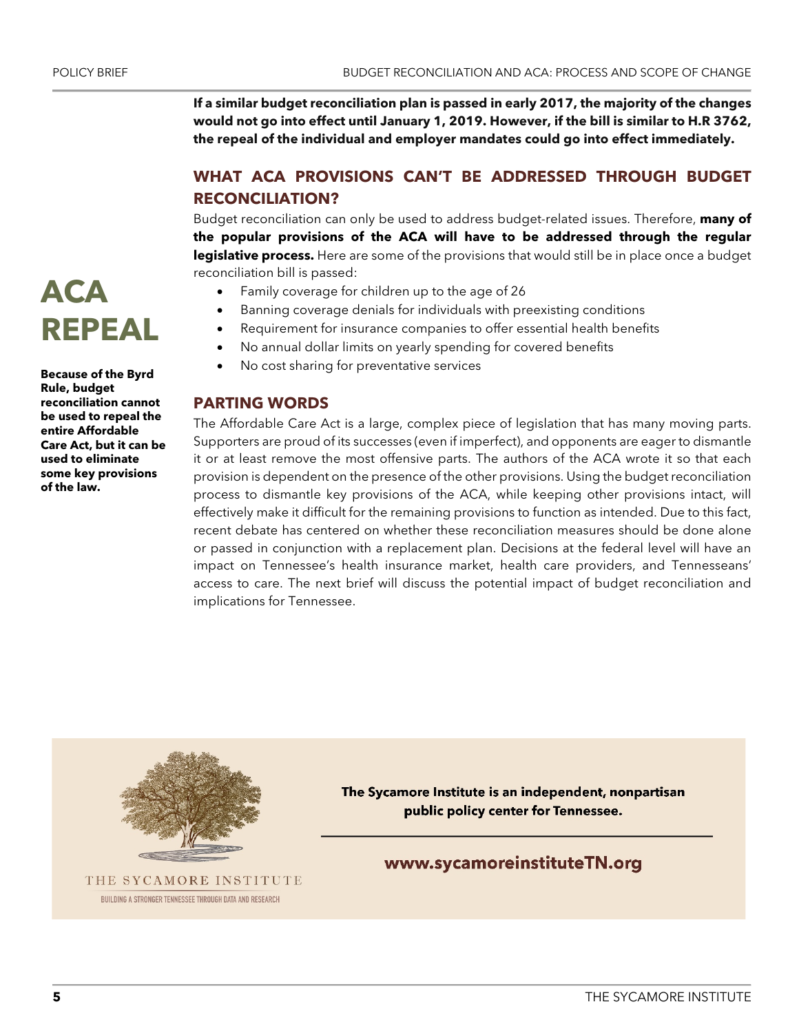**ACA** 

**Rule, budget** 

**of the law.**

**REPEAL**

**Care Act, but it can be used to eliminate some key provisions** 

**If a similar budget reconciliation plan is passed in early 2017, the majority of the changes would not go into effect until January 1, 2019. However, if the bill is similar to H.R 3762, the repeal of the individual and employer mandates could go into effect immediately.**

# **WHAT ACA PROVISIONS CAN'T BE ADDRESSED THROUGH BUDGET RECONCILIATION?**

Budget reconciliation can only be used to address budget-related issues. Therefore, **many of the popular provisions of the ACA will have to be addressed through the regular legislative process.** Here are some of the provisions that would still be in place once a budget reconciliation bill is passed:

- Family coverage for children up to the age of 26
- Banning coverage denials for individuals with preexisting conditions
- Requirement for insurance companies to offer essential health benefits
- No annual dollar limits on yearly spending for covered benefits
- No cost sharing for preventative services

## **PARTING WORDS**

The Affordable Care Act is a large, complex piece of legislation that has many moving parts. Supporters are proud of its successes (even if imperfect), and opponents are eager to dismantle it or at least remove the most offensive parts. The authors of the ACA wrote it so that each provision is dependent on the presence of the other provisions. Using the budget reconciliation process to dismantle key provisions of the ACA, while keeping other provisions intact, will effectively make it difficult for the remaining provisions to function as intended. Due to this fact, recent debate has centered on whether these reconciliation measures should be done alone or passed in conjunction with a replacement plan. Decisions at the federal level will have an impact on Tennessee's health insurance market, health care providers, and Tennesseans' access to care. The next brief will discuss the potential impact of budget reconciliation and implications for Tennessee.



THE SYCAMORE INSTITUTE BUILDING A STRONGER TENNESSEE THROUGH DATA AND RESEARCH

The Sycamore Institute is an independent, nonpartisan public policy center for Tennessee.

www.sycamoreinstituteTN.org

# **Because of the Byrd reconciliation cannot be used to repeal the entire Affordable**

**5** THE SYCAMORE INSTITUTE